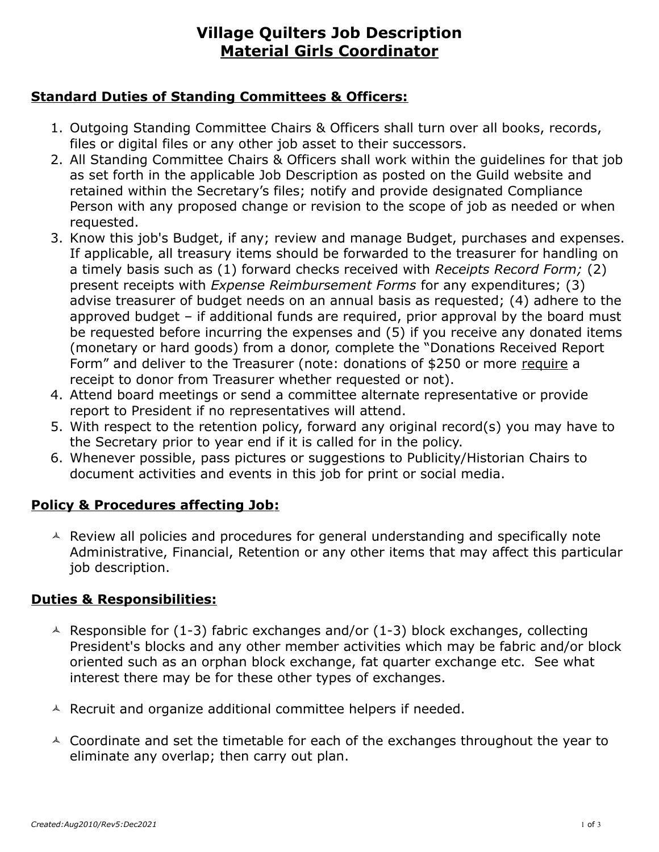# **Village Quilters Job Description Material Girls Coordinator**

### **Standard Duties of Standing Committees & Officers:**

- 1. Outgoing Standing Committee Chairs & Officers shall turn over all books, records, files or digital files or any other job asset to their successors.
- 2. All Standing Committee Chairs & Officers shall work within the guidelines for that job as set forth in the applicable Job Description as posted on the Guild website and retained within the Secretary's files; notify and provide designated Compliance Person with any proposed change or revision to the scope of job as needed or when requested.
- 3. Know this job's Budget, if any; review and manage Budget, purchases and expenses. If applicable, all treasury items should be forwarded to the treasurer for handling on a timely basis such as (1) forward checks received with *Receipts Record Form;* (2) present receipts with *Expense Reimbursement Forms* for any expenditures; (3) advise treasurer of budget needs on an annual basis as requested; (4) adhere to the approved budget – if additional funds are required, prior approval by the board must be requested before incurring the expenses and (5) if you receive any donated items (monetary or hard goods) from a donor, complete the "Donations Received Report Form" and deliver to the Treasurer (note: donations of \$250 or more require a receipt to donor from Treasurer whether requested or not).
- 4. Attend board meetings or send a committee alternate representative or provide report to President if no representatives will attend.
- 5. With respect to the retention policy, forward any original record(s) you may have to the Secretary prior to year end if it is called for in the policy.
- 6. Whenever possible, pass pictures or suggestions to Publicity/Historian Chairs to document activities and events in this job for print or social media.

## **Policy & Procedures affecting Job:**

 $\triangle$  Review all policies and procedures for general understanding and specifically note Administrative, Financial, Retention or any other items that may affect this particular job description.

## **Duties & Responsibilities:**

- $\triangle$  Responsible for (1-3) fabric exchanges and/or (1-3) block exchanges, collecting President's blocks and any other member activities which may be fabric and/or block oriented such as an orphan block exchange, fat quarter exchange etc. See what interest there may be for these other types of exchanges.
- $\triangle$  Recruit and organize additional committee helpers if needed.
- $\triangle$  Coordinate and set the timetable for each of the exchanges throughout the year to eliminate any overlap; then carry out plan.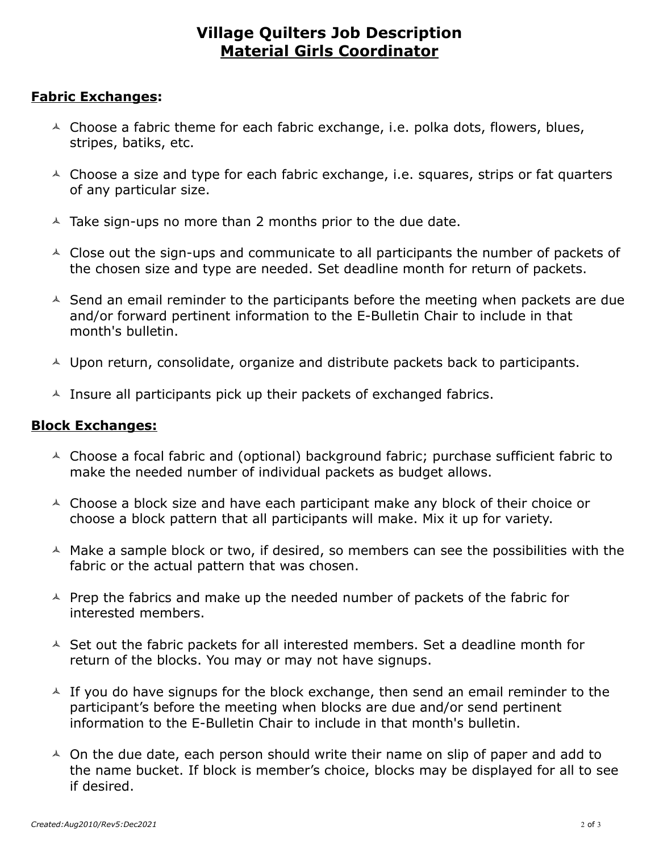# **Village Quilters Job Description Material Girls Coordinator**

#### **Fabric Exchanges:**

- $\triangle$  Choose a fabric theme for each fabric exchange, i.e. polka dots, flowers, blues, stripes, batiks, etc.
- $\triangle$  Choose a size and type for each fabric exchange, i.e. squares, strips or fat quarters of any particular size.
- $\triangle$  Take sign-ups no more than 2 months prior to the due date.
- $\triangle$  Close out the sign-ups and communicate to all participants the number of packets of the chosen size and type are needed. Set deadline month for return of packets.
- $\triangle$  Send an email reminder to the participants before the meeting when packets are due and/or forward pertinent information to the E-Bulletin Chair to include in that month's bulletin.
- $\triangle$  Upon return, consolidate, organize and distribute packets back to participants.
- $\triangle$  Insure all participants pick up their packets of exchanged fabrics.

#### **Block Exchanges:**

- $\triangle$  Choose a focal fabric and (optional) background fabric; purchase sufficient fabric to make the needed number of individual packets as budget allows.
- $\triangle$  Choose a block size and have each participant make any block of their choice or choose a block pattern that all participants will make. Mix it up for variety.
- $\triangle$  Make a sample block or two, if desired, so members can see the possibilities with the fabric or the actual pattern that was chosen.
- $\triangle$  Prep the fabrics and make up the needed number of packets of the fabric for interested members.
- $\triangle$  Set out the fabric packets for all interested members. Set a deadline month for return of the blocks. You may or may not have signups.
- $\overline{\phantom{a}}$  If you do have signups for the block exchange, then send an email reminder to the participant's before the meeting when blocks are due and/or send pertinent information to the E-Bulletin Chair to include in that month's bulletin.
- $\triangle$  On the due date, each person should write their name on slip of paper and add to the name bucket. If block is member's choice, blocks may be displayed for all to see if desired.